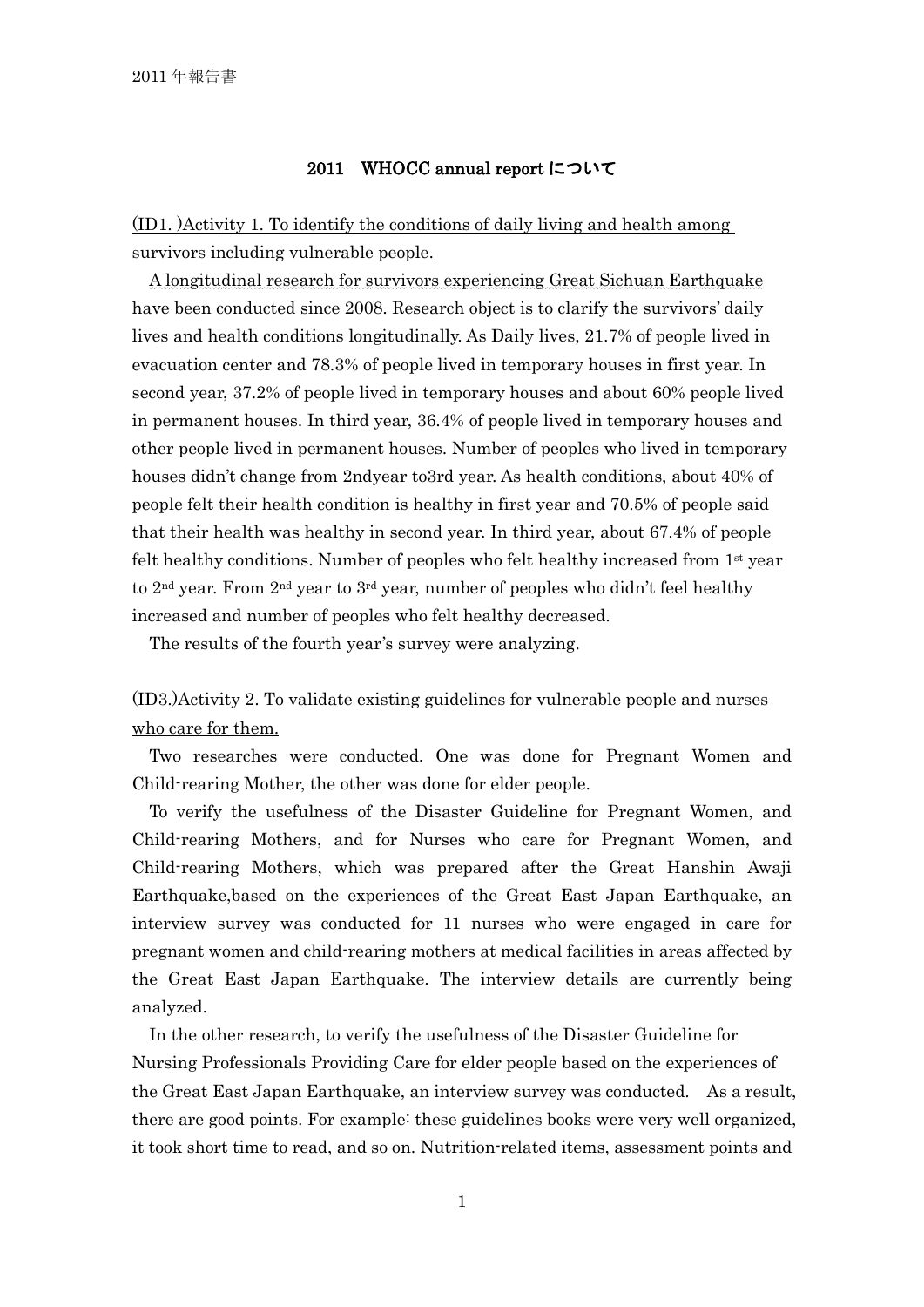## 2011 WHOCC annual report について

(ID1. )Activity 1. To identify the conditions of daily living and health among survivors including vulnerable people.

A longitudinal research for survivors experiencing Great Sichuan Earthquake have been conducted since 2008. Research object is to clarify the survivors' daily lives and health conditions longitudinally. As Daily lives, 21.7% of people lived in evacuation center and 78.3% of people lived in temporary houses in first year. In second year, 37.2% of people lived in temporary houses and about 60% people lived in permanent houses. In third year, 36.4% of people lived in temporary houses and other people lived in permanent houses. Number of peoples who lived in temporary houses didn't change from 2ndyear to3rd year. As health conditions, about 40% of people felt their health condition is healthy in first year and 70.5% of people said that their health was healthy in second year. In third year, about 67.4% of people felt healthy conditions. Number of peoples who felt healthy increased from 1st year to  $2<sup>nd</sup>$  year. From  $2<sup>nd</sup>$  year to  $3<sup>rd</sup>$  year, number of peoples who didn't feel healthy increased and number of peoples who felt healthy decreased.

The results of the fourth year's survey were analyzing.

## (ID3.)Activity 2. To validate existing guidelines for vulnerable people and nurses who care for them.

Two researches were conducted. One was done for Pregnant Women and Child-rearing Mother, the other was done for elder people.

To verify the usefulness of the Disaster Guideline for Pregnant Women, and Child-rearing Mothers, and for Nurses who care for Pregnant Women, and Child-rearing Mothers, which was prepared after the Great Hanshin Awaji Earthquake,based on the experiences of the Great East Japan Earthquake, an interview survey was conducted for 11 nurses who were engaged in care for pregnant women and child-rearing mothers at medical facilities in areas affected by the Great East Japan Earthquake. The interview details are currently being analyzed.

In the other research, to verify the usefulness of the Disaster Guideline for Nursing Professionals Providing Care for elder people based on the experiences of the Great East Japan Earthquake, an interview survey was conducted. As a result, there are good points. For example: these guidelines books were very well organized, it took short time to read, and so on. Nutrition-related items, assessment points and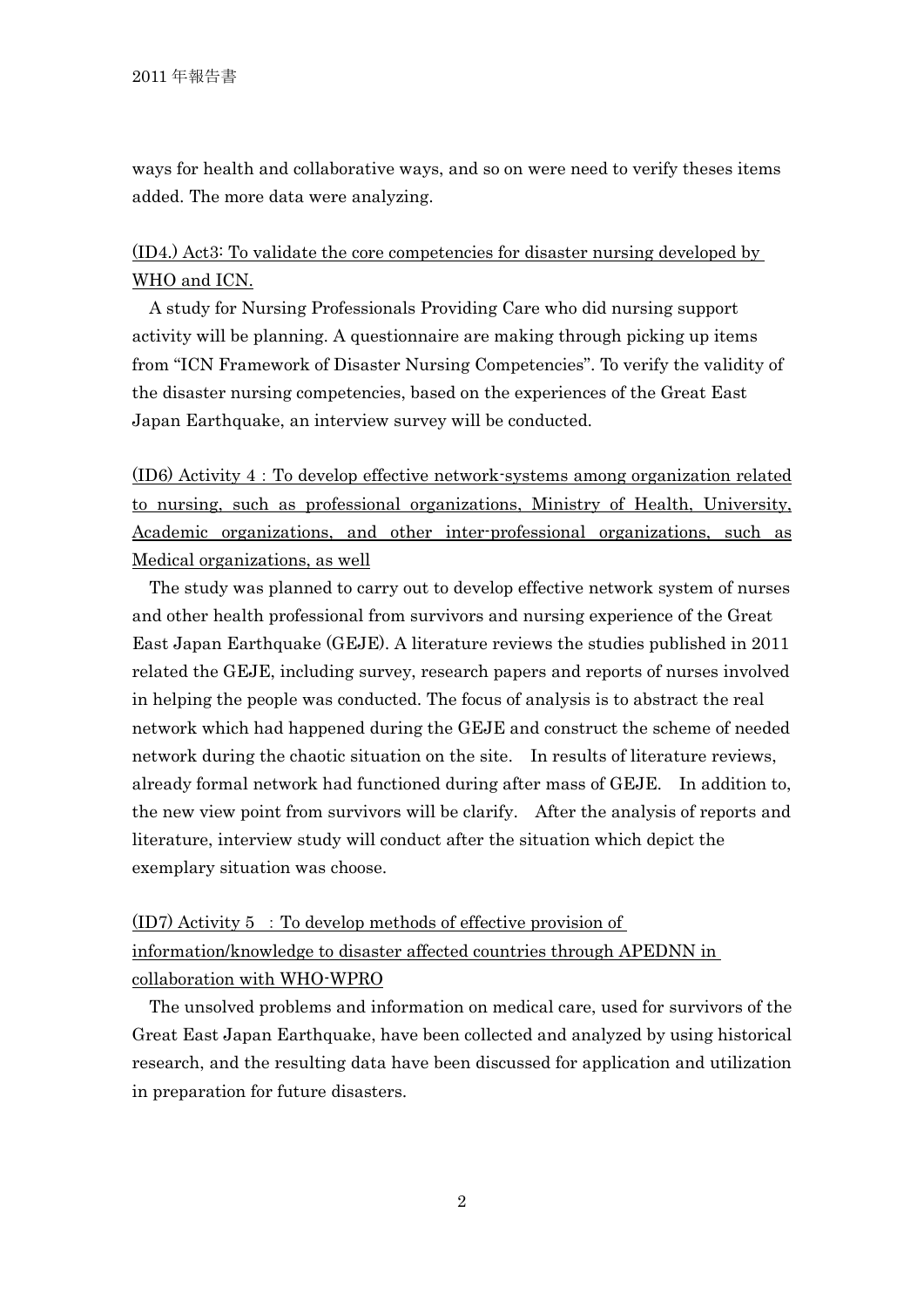ways for health and collaborative ways, and so on were need to verify theses items added. The more data were analyzing.

## (ID4.) Act3: To validate the core competencies for disaster nursing developed by WHO and ICN.

A study for Nursing Professionals Providing Care who did nursing support activity will be planning. A questionnaire are making through picking up items from "ICN Framework of Disaster Nursing Competencies". To verify the validity of the disaster nursing competencies, based on the experiences of the Great East Japan Earthquake, an interview survey will be conducted.

(ID6) Activity 4:To develop effective network-systems among organization related to nursing, such as professional organizations, Ministry of Health, University, Academic organizations, and other inter-professional organizations, such as Medical organizations, as well

The study was planned to carry out to develop effective network system of nurses and other health professional from survivors and nursing experience of the Great East Japan Earthquake (GEJE). A literature reviews the studies published in 2011 related the GEJE, including survey, research papers and reports of nurses involved in helping the people was conducted. The focus of analysis is to abstract the real network which had happened during the GEJE and construct the scheme of needed network during the chaotic situation on the site. In results of literature reviews, already formal network had functioned during after mass of GEJE. In addition to, the new view point from survivors will be clarify. After the analysis of reports and literature, interview study will conduct after the situation which depict the exemplary situation was choose.

 $(ID7)$  Activity 5 : To develop methods of effective provision of information/knowledge to disaster affected countries through APEDNN in collaboration with WHO-WPRO

The unsolved problems and information on medical care, used for survivors of the Great East Japan Earthquake, have been collected and analyzed by using historical research, and the resulting data have been discussed for application and utilization in preparation for future disasters.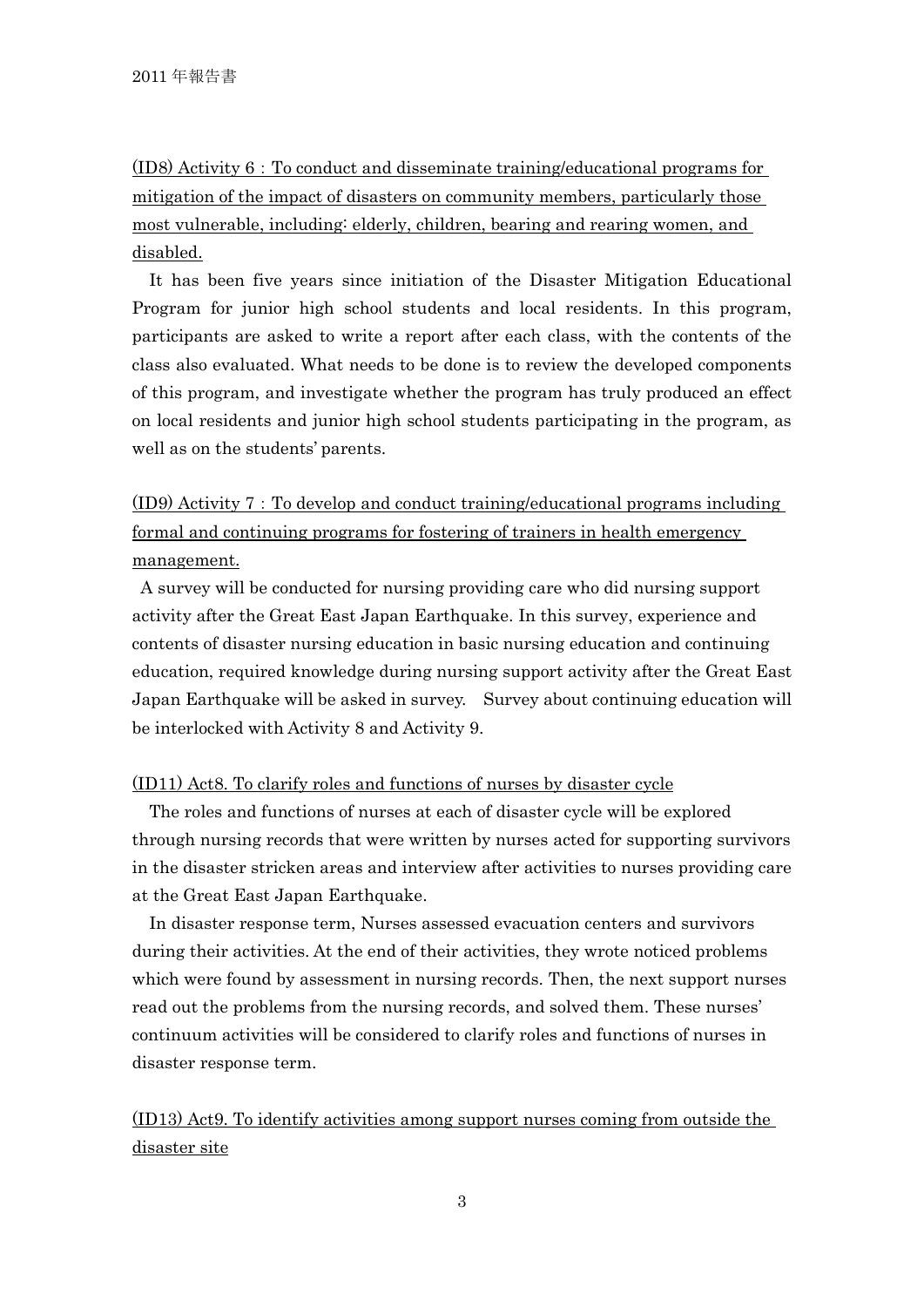(ID8) Activity 6:To conduct and disseminate training/educational programs for mitigation of the impact of disasters on community members, particularly those most vulnerable, including: elderly, children, bearing and rearing women, and disabled.

It has been five years since initiation of the Disaster Mitigation Educational Program for junior high school students and local residents. In this program, participants are asked to write a report after each class, with the contents of the class also evaluated. What needs to be done is to review the developed components of this program, and investigate whether the program has truly produced an effect on local residents and junior high school students participating in the program, as well as on the students' parents.

(ID9) Activity 7:To develop and conduct training/educational programs including formal and continuing programs for fostering of trainers in health emergency management.

A survey will be conducted for nursing providing care who did nursing support activity after the Great East Japan Earthquake. In this survey, experience and contents of disaster nursing education in basic nursing education and continuing education, required knowledge during nursing support activity after the Great East Japan Earthquake will be asked in survey. Survey about continuing education will be interlocked with Activity 8 and Activity 9.

## (ID11) Act8. To clarify roles and functions of nurses by disaster cycle

The roles and functions of nurses at each of disaster cycle will be explored through nursing records that were written by nurses acted for supporting survivors in the disaster stricken areas and interview after activities to nurses providing care at the Great East Japan Earthquake.

In disaster response term, Nurses assessed evacuation centers and survivors during their activities. At the end of their activities, they wrote noticed problems which were found by assessment in nursing records. Then, the next support nurses read out the problems from the nursing records, and solved them. These nurses' continuum activities will be considered to clarify roles and functions of nurses in disaster response term.

(ID13) Act9. To identify activities among support nurses coming from outside the disaster site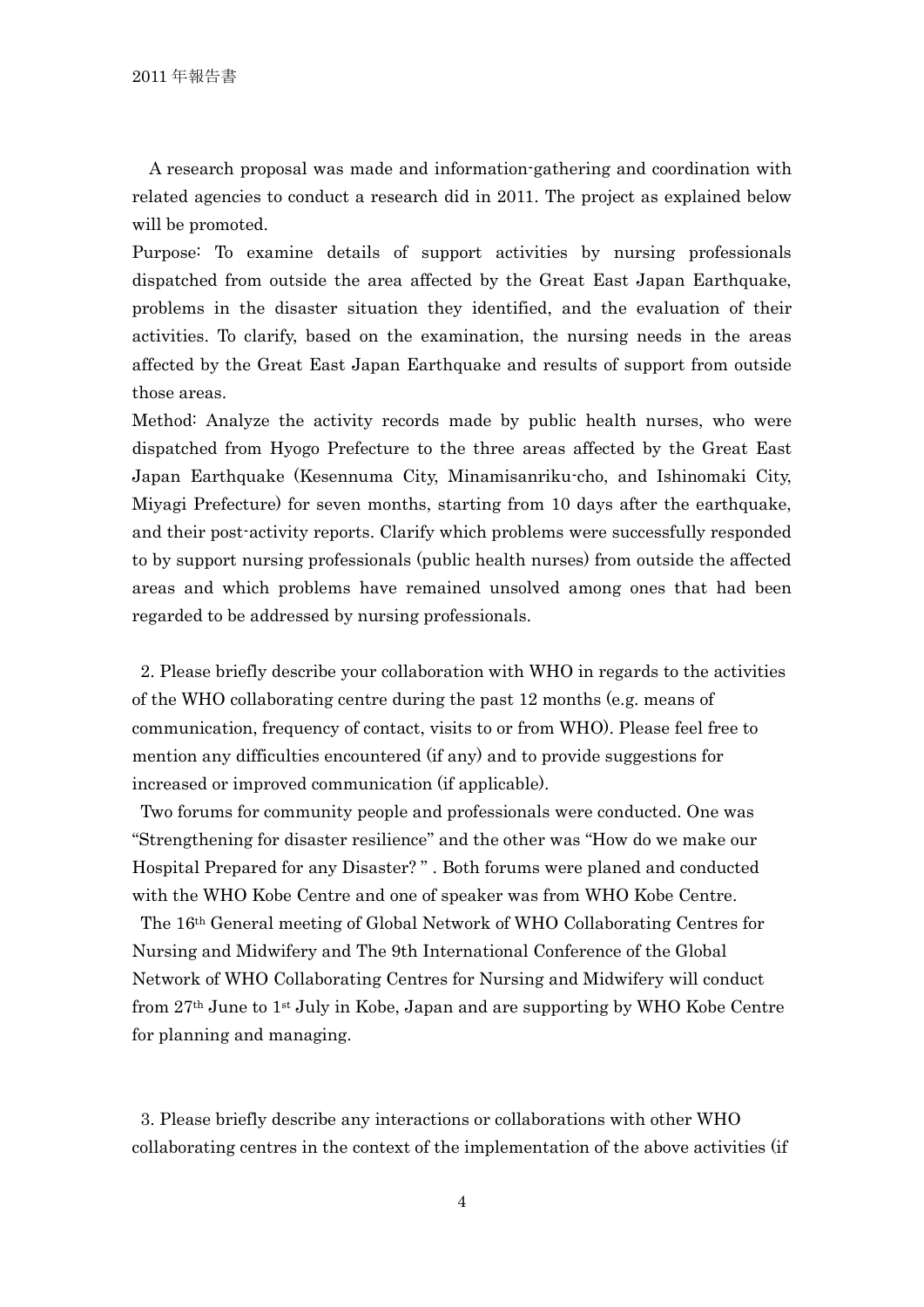A research proposal was made and information-gathering and coordination with related agencies to conduct a research did in 2011. The project as explained below will be promoted.

Purpose: To examine details of support activities by nursing professionals dispatched from outside the area affected by the Great East Japan Earthquake, problems in the disaster situation they identified, and the evaluation of their activities. To clarify, based on the examination, the nursing needs in the areas affected by the Great East Japan Earthquake and results of support from outside those areas.

Method: Analyze the activity records made by public health nurses, who were dispatched from Hyogo Prefecture to the three areas affected by the Great East Japan Earthquake (Kesennuma City, Minamisanriku-cho, and Ishinomaki City, Miyagi Prefecture) for seven months, starting from 10 days after the earthquake, and their post-activity reports. Clarify which problems were successfully responded to by support nursing professionals (public health nurses) from outside the affected areas and which problems have remained unsolved among ones that had been regarded to be addressed by nursing professionals.

2. Please briefly describe your collaboration with WHO in regards to the activities of the WHO collaborating centre during the past 12 months (e.g. means of communication, frequency of contact, visits to or from WHO). Please feel free to mention any difficulties encountered (if any) and to provide suggestions for increased or improved communication (if applicable).

Two forums for community people and professionals were conducted. One was "Strengthening for disaster resilience" and the other was "How do we make our Hospital Prepared for any Disaster? " . Both forums were planed and conducted with the WHO Kobe Centre and one of speaker was from WHO Kobe Centre.

The 16th General meeting of Global Network of WHO Collaborating Centres for Nursing and Midwifery and The 9th International Conference of the Global Network of WHO Collaborating Centres for Nursing and Midwifery will conduct from 27th June to 1st July in Kobe, Japan and are supporting by WHO Kobe Centre for planning and managing.

3. Please briefly describe any interactions or collaborations with other WHO collaborating centres in the context of the implementation of the above activities (if